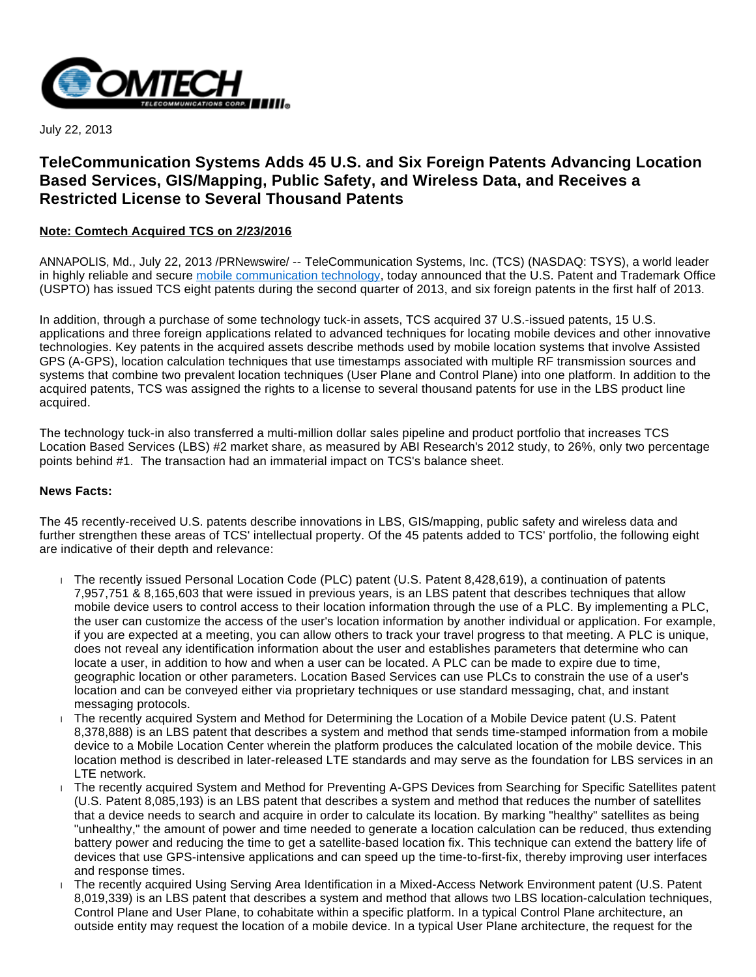

July 22, 2013

# **TeleCommunication Systems Adds 45 U.S. and Six Foreign Patents Advancing Location Based Services, GIS/Mapping, Public Safety, and Wireless Data, and Receives a Restricted License to Several Thousand Patents**

# **Note: Comtech Acquired TCS on 2/23/2016**

ANNAPOLIS, Md., July 22, 2013 /PRNewswire/ -- TeleCommunication Systems, Inc. (TCS) (NASDAQ: TSYS), a world leader in highly reliable and secure [mobile communication technology](http://www.telecomsys.com/), today announced that the U.S. Patent and Trademark Office (USPTO) has issued TCS eight patents during the second quarter of 2013, and six foreign patents in the first half of 2013.

In addition, through a purchase of some technology tuck-in assets, TCS acquired 37 U.S.-issued patents, 15 U.S. applications and three foreign applications related to advanced techniques for locating mobile devices and other innovative technologies. Key patents in the acquired assets describe methods used by mobile location systems that involve Assisted GPS (A-GPS), location calculation techniques that use timestamps associated with multiple RF transmission sources and systems that combine two prevalent location techniques (User Plane and Control Plane) into one platform. In addition to the acquired patents, TCS was assigned the rights to a license to several thousand patents for use in the LBS product line acquired.

The technology tuck-in also transferred a multi-million dollar sales pipeline and product portfolio that increases TCS Location Based Services (LBS) #2 market share, as measured by ABI Research's 2012 study, to 26%, only two percentage points behind #1. The transaction had an immaterial impact on TCS's balance sheet.

### **News Facts:**

The 45 recently-received U.S. patents describe innovations in LBS, GIS/mapping, public safety and wireless data and further strengthen these areas of TCS' intellectual property. Of the 45 patents added to TCS' portfolio, the following eight are indicative of their depth and relevance:

- The recently issued Personal Location Code (PLC) patent (U.S. Patent 8,428,619), a continuation of patents 7,957,751 & 8,165,603 that were issued in previous years, is an LBS patent that describes techniques that allow mobile device users to control access to their location information through the use of a PLC. By implementing a PLC, the user can customize the access of the user's location information by another individual or application. For example, if you are expected at a meeting, you can allow others to track your travel progress to that meeting. A PLC is unique, does not reveal any identification information about the user and establishes parameters that determine who can locate a user, in addition to how and when a user can be located. A PLC can be made to expire due to time, geographic location or other parameters. Location Based Services can use PLCs to constrain the use of a user's location and can be conveyed either via proprietary techniques or use standard messaging, chat, and instant messaging protocols.
- The recently acquired System and Method for Determining the Location of a Mobile Device patent (U.S. Patent 8,378,888) is an LBS patent that describes a system and method that sends time-stamped information from a mobile device to a Mobile Location Center wherein the platform produces the calculated location of the mobile device. This location method is described in later-released LTE standards and may serve as the foundation for LBS services in an LTE network.
- The recently acquired System and Method for Preventing A-GPS Devices from Searching for Specific Satellites patent (U.S. Patent 8,085,193) is an LBS patent that describes a system and method that reduces the number of satellites that a device needs to search and acquire in order to calculate its location. By marking "healthy" satellites as being "unhealthy," the amount of power and time needed to generate a location calculation can be reduced, thus extending battery power and reducing the time to get a satellite-based location fix. This technique can extend the battery life of devices that use GPS-intensive applications and can speed up the time-to-first-fix, thereby improving user interfaces and response times.
- The recently acquired Using Serving Area Identification in a Mixed-Access Network Environment patent (U.S. Patent 8,019,339) is an LBS patent that describes a system and method that allows two LBS location-calculation techniques, Control Plane and User Plane, to cohabitate within a specific platform. In a typical Control Plane architecture, an outside entity may request the location of a mobile device. In a typical User Plane architecture, the request for the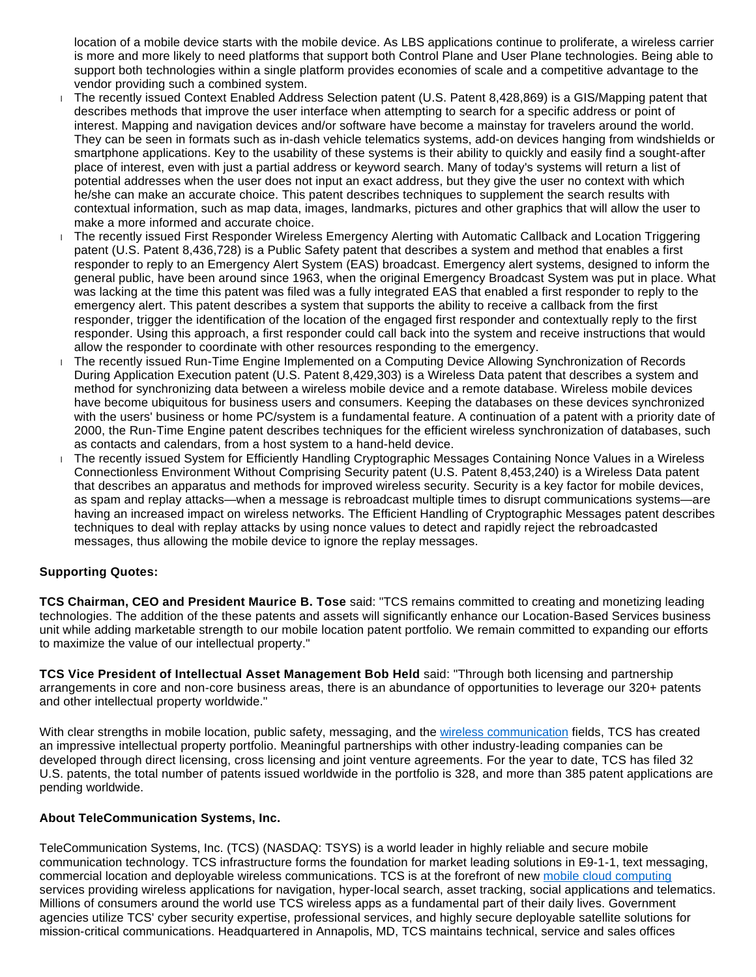location of a mobile device starts with the mobile device. As LBS applications continue to proliferate, a wireless carrier is more and more likely to need platforms that support both Control Plane and User Plane technologies. Being able to support both technologies within a single platform provides economies of scale and a competitive advantage to the vendor providing such a combined system.

- The recently issued Context Enabled Address Selection patent (U.S. Patent 8,428,869) is a GIS/Mapping patent that describes methods that improve the user interface when attempting to search for a specific address or point of interest. Mapping and navigation devices and/or software have become a mainstay for travelers around the world. They can be seen in formats such as in-dash vehicle telematics systems, add-on devices hanging from windshields or smartphone applications. Key to the usability of these systems is their ability to quickly and easily find a sought-after place of interest, even with just a partial address or keyword search. Many of today's systems will return a list of potential addresses when the user does not input an exact address, but they give the user no context with which he/she can make an accurate choice. This patent describes techniques to supplement the search results with contextual information, such as map data, images, landmarks, pictures and other graphics that will allow the user to make a more informed and accurate choice.
- The recently issued First Responder Wireless Emergency Alerting with Automatic Callback and Location Triggering patent (U.S. Patent 8,436,728) is a Public Safety patent that describes a system and method that enables a first responder to reply to an Emergency Alert System (EAS) broadcast. Emergency alert systems, designed to inform the general public, have been around since 1963, when the original Emergency Broadcast System was put in place. What was lacking at the time this patent was filed was a fully integrated EAS that enabled a first responder to reply to the emergency alert. This patent describes a system that supports the ability to receive a callback from the first responder, trigger the identification of the location of the engaged first responder and contextually reply to the first responder. Using this approach, a first responder could call back into the system and receive instructions that would allow the responder to coordinate with other resources responding to the emergency.
- The recently issued Run-Time Engine Implemented on a Computing Device Allowing Synchronization of Records During Application Execution patent (U.S. Patent 8,429,303) is a Wireless Data patent that describes a system and method for synchronizing data between a wireless mobile device and a remote database. Wireless mobile devices have become ubiquitous for business users and consumers. Keeping the databases on these devices synchronized with the users' business or home PC/system is a fundamental feature. A continuation of a patent with a priority date of 2000, the Run-Time Engine patent describes techniques for the efficient wireless synchronization of databases, such as contacts and calendars, from a host system to a hand-held device.
- The recently issued System for Efficiently Handling Cryptographic Messages Containing Nonce Values in a Wireless Connectionless Environment Without Comprising Security patent (U.S. Patent 8,453,240) is a Wireless Data patent that describes an apparatus and methods for improved wireless security. Security is a key factor for mobile devices, as spam and replay attacks—when a message is rebroadcast multiple times to disrupt communications systems—are having an increased impact on wireless networks. The Efficient Handling of Cryptographic Messages patent describes techniques to deal with replay attacks by using nonce values to detect and rapidly reject the rebroadcasted messages, thus allowing the mobile device to ignore the replay messages.

# **Supporting Quotes:**

**TCS Chairman, CEO and President Maurice B. Tose** said: "TCS remains committed to creating and monetizing leading technologies. The addition of the these patents and assets will significantly enhance our Location-Based Services business unit while adding marketable strength to our mobile location patent portfolio. We remain committed to expanding our efforts to maximize the value of our intellectual property."

**TCS Vice President of Intellectual Asset Management Bob Held** said: "Through both licensing and partnership arrangements in core and non-core business areas, there is an abundance of opportunities to leverage our 320+ patents and other intellectual property worldwide."

With clear strengths in mobile location, public safety, messaging, and the [wireless communication](http://www.telecomsys.com/) fields, TCS has created an impressive intellectual property portfolio. Meaningful partnerships with other industry-leading companies can be developed through direct licensing, cross licensing and joint venture agreements. For the year to date, TCS has filed 32 U.S. patents, the total number of patents issued worldwide in the portfolio is 328, and more than 385 patent applications are pending worldwide.

### **About TeleCommunication Systems, Inc.**

TeleCommunication Systems, Inc. (TCS) (NASDAQ: TSYS) is a world leader in highly reliable and secure mobile communication technology. TCS infrastructure forms the foundation for market leading solutions in E9-1-1, text messaging, commercial location and deployable wireless communications. TCS is at the forefront of new [mobile cloud computing](http://www.telecomsys.com/) services providing wireless applications for navigation, hyper-local search, asset tracking, social applications and telematics. Millions of consumers around the world use TCS wireless apps as a fundamental part of their daily lives. Government agencies utilize TCS' cyber security expertise, professional services, and highly secure deployable satellite solutions for mission-critical communications. Headquartered in Annapolis, MD, TCS maintains technical, service and sales offices